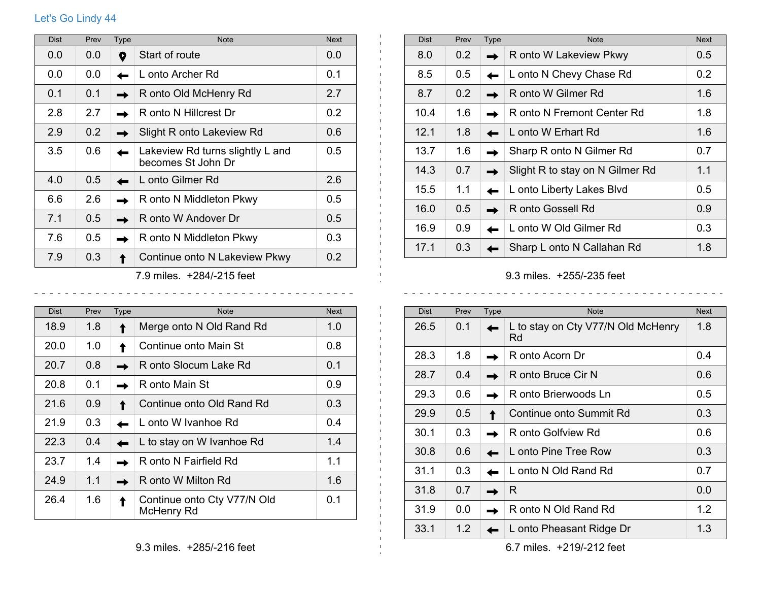## Let's Go Lindy 44

| <b>Dist</b>               | Prev | <b>Type</b> | <b>Note</b>                                            | <b>Next</b>   |
|---------------------------|------|-------------|--------------------------------------------------------|---------------|
| 0.0                       | 0.0  | 9           | Start of route                                         | 0.0           |
| 0.0                       | 0.0  |             | L onto Archer Rd                                       | 0.1           |
| 0.1                       | 0.1  |             | R onto Old McHenry Rd                                  | 2.7           |
| 2.8                       | 2.7  |             | R onto N Hillcrest Dr                                  | 0.2           |
| 2.9                       | 0.2  |             | Slight R onto Lakeview Rd                              | 0.6           |
| 3.5                       | 0.6  |             | Lakeview Rd turns slightly L and<br>becomes St John Dr | $0.5^{\circ}$ |
| 4.0                       | 0.5  |             | L onto Gilmer Rd                                       | 2.6           |
| 6.6                       | 2.6  |             | R onto N Middleton Pkwy                                | $0.5^{\circ}$ |
| 7.1                       | 0.5  |             | R onto W Andover Dr                                    | 0.5           |
| 7.6                       | 0.5  |             | R onto N Middleton Pkwy                                | 0.3           |
| 7.9                       | 0.3  |             | Continue onto N Lakeview Pkwy                          | 0.2           |
| 7.9 miles. +284/-215 feet |      |             |                                                        |               |

| <b>Dist</b> | Prev | Type | <b>Note</b>                               | <b>Next</b> |
|-------------|------|------|-------------------------------------------|-------------|
| 18.9        | 1.8  |      | Merge onto N Old Rand Rd                  | 1.0         |
| 20.0        | 1.0  |      | Continue onto Main St                     | 0.8         |
| 20.7        | 0.8  |      | R onto Slocum Lake Rd                     | 0.1         |
| 20.8        | 0.1  |      | R onto Main St                            | 0.9         |
| 21.6        | 0.9  |      | Continue onto Old Rand Rd                 | 0.3         |
| 21.9        | 0.3  |      | L onto W Ivanhoe Rd                       | 0.4         |
| 22.3        | 0.4  |      | L to stay on W Ivanhoe Rd                 | 1.4         |
| 23.7        | 1.4  |      | R onto N Fairfield Rd                     | 1.1         |
| 24.9        | 1.1  |      | R onto W Milton Rd                        | 1.6         |
| 26.4        | 1.6  |      | Continue onto Cty V77/N Old<br>McHenry Rd | 0.1         |

| <b>Dist</b> | Prev          | <b>Type</b> | <b>Note</b>                     | <b>Next</b>      |
|-------------|---------------|-------------|---------------------------------|------------------|
| 8.0         | $0.2^{\circ}$ |             | R onto W Lakeview Pkwy          | 0.5              |
| 8.5         | $0.5^{\circ}$ |             | L onto N Chevy Chase Rd         | 0.2 <sub>0</sub> |
| 8.7         | 0.2           |             | R onto W Gilmer Rd              | 1.6              |
| 10.4        | 1.6           |             | R onto N Fremont Center Rd      | 1.8              |
| 12.1        | 1.8           |             | L onto W Erhart Rd              | 1.6              |
| 13.7        | 1.6           |             | Sharp R onto N Gilmer Rd        | 0.7              |
| 14.3        | 0.7           |             | Slight R to stay on N Gilmer Rd | 1.1              |
| 15.5        | 1.1           |             | L onto Liberty Lakes Blvd       | 0.5              |
| 16.0        | 0.5           |             | R onto Gossell Rd               | 0.9              |
| 16.9        | 0.9           |             | L onto W Old Gilmer Rd          | 0.3              |
| 17.1        | 0.3           |             | Sharp L onto N Callahan Rd      | 1.8              |

9.3 miles. +255/-235 feet

 $\mathbf{1}$ 

 $\pm 1$ 

 $\frac{1}{2}$ 

| <b>Dist</b> | Prev | <b>Type</b> | <b>Note</b>                              | <b>Next</b> |
|-------------|------|-------------|------------------------------------------|-------------|
| 26.5        | 0.1  |             | L to stay on Cty V77/N Old McHenry<br>Rd | 1.8         |
| 28.3        | 1.8  |             | R onto Acorn Dr                          | 0.4         |
| 28.7        | 0.4  |             | R onto Bruce Cir N                       | 0.6         |
| 29.3        | 0.6  |             | R onto Brierwoods Ln                     | 0.5         |
| 29.9        | 0.5  |             | Continue onto Summit Rd                  | 0.3         |
| 30.1        | 0.3  |             | R onto Golfview Rd                       | 0.6         |
| 30.8        | 0.6  |             | L onto Pine Tree Row                     | 0.3         |
| 31.1        | 0.3  |             | L onto N Old Rand Rd                     | 0.7         |
| 31.8        | 0.7  |             | R                                        | 0.0         |
| 31.9        | 0.0  |             | R onto N Old Rand Rd                     | 1.2         |
| 33.1        | 1.2  |             | L onto Pheasant Ridge Dr                 | 1.3         |

6.7 miles. +219/-212 feet